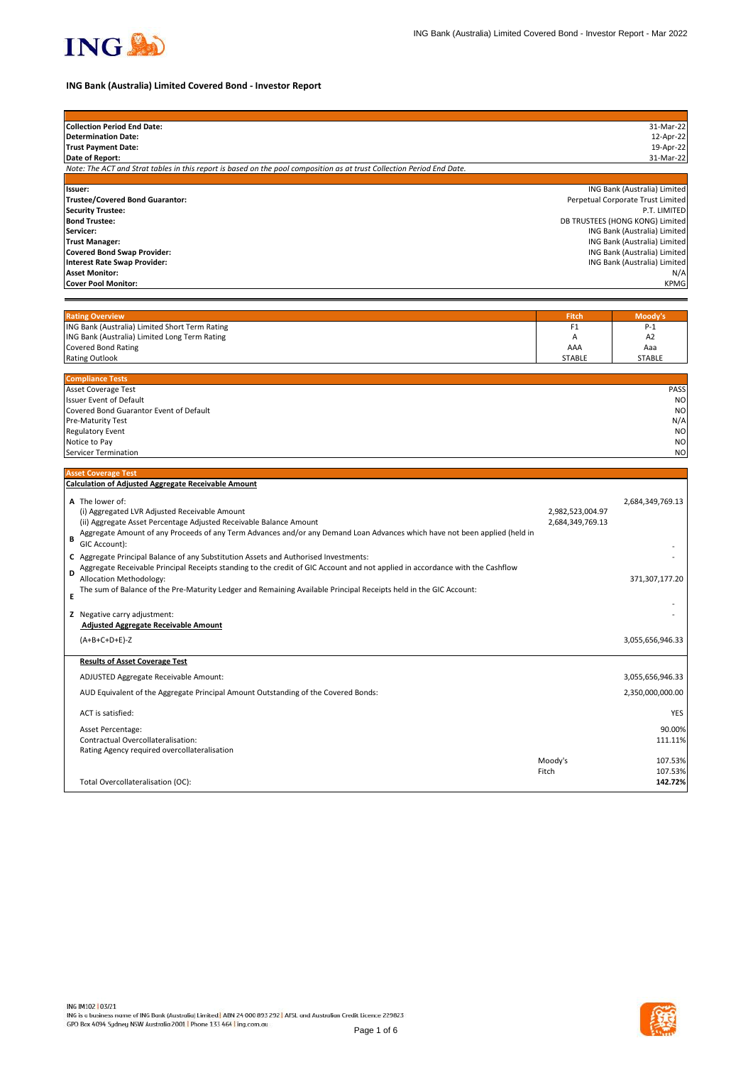

# **ING Bank (Australia) Limited Covered Bond - Investor Report**

| <b>Collection Period End Date:</b>                                                                                                 |                  | 31-Mar-22                                                       |
|------------------------------------------------------------------------------------------------------------------------------------|------------------|-----------------------------------------------------------------|
| <b>Determination Date:</b>                                                                                                         |                  | 12-Apr-22                                                       |
| <b>Trust Payment Date:</b><br>Date of Report:                                                                                      |                  | 19-Apr-22<br>31-Mar-22                                          |
| Note: The ACT and Strat tables in this report is based on the pool composition as at trust Collection Period End Date.             |                  |                                                                 |
|                                                                                                                                    |                  |                                                                 |
| Issuer:                                                                                                                            |                  | ING Bank (Australia) Limited                                    |
| Trustee/Covered Bond Guarantor:                                                                                                    |                  | Perpetual Corporate Trust Limited                               |
| <b>Security Trustee:</b>                                                                                                           |                  | P.T. LIMITED                                                    |
| <b>Bond Trustee:</b><br>Servicer:                                                                                                  |                  | DB TRUSTEES (HONG KONG) Limited<br>ING Bank (Australia) Limited |
| <b>Trust Manager:</b>                                                                                                              |                  | ING Bank (Australia) Limited                                    |
| <b>Covered Bond Swap Provider:</b>                                                                                                 |                  | ING Bank (Australia) Limited                                    |
| <b>Interest Rate Swap Provider:</b>                                                                                                |                  | ING Bank (Australia) Limited                                    |
| <b>Asset Monitor:</b>                                                                                                              |                  | $N/\rho$                                                        |
| <b>Cover Pool Monitor:</b>                                                                                                         |                  | <b>KPMG</b>                                                     |
|                                                                                                                                    |                  |                                                                 |
| <b>Rating Overview</b>                                                                                                             | <b>Fitch</b>     | Moody's                                                         |
| ING Bank (Australia) Limited Short Term Rating                                                                                     | F1               | $P-1$                                                           |
| ING Bank (Australia) Limited Long Term Rating                                                                                      | А                | A <sub>2</sub>                                                  |
| <b>Covered Bond Rating</b>                                                                                                         | AAA              | Aaa                                                             |
| <b>Rating Outlook</b>                                                                                                              | <b>STABLE</b>    | <b>STABLE</b>                                                   |
|                                                                                                                                    |                  |                                                                 |
| <b>Compliance Tests</b><br><b>Asset Coverage Test</b>                                                                              |                  | PASS                                                            |
| <b>Issuer Event of Default</b>                                                                                                     |                  | <b>NC</b>                                                       |
| Covered Bond Guarantor Event of Default                                                                                            |                  | <b>NC</b>                                                       |
| Pre-Maturity Test                                                                                                                  |                  | N/A                                                             |
| <b>Regulatory Event</b>                                                                                                            |                  | <b>NC</b>                                                       |
| Notice to Pay                                                                                                                      |                  | <b>NC</b>                                                       |
| Servicer Termination                                                                                                               |                  | <b>NC</b>                                                       |
| <b>Asset Coverage Test</b>                                                                                                         |                  |                                                                 |
| <b>Calculation of Adjusted Aggregate Receivable Amount</b>                                                                         |                  |                                                                 |
| A The lower of:                                                                                                                    |                  | 2,684,349,769.13                                                |
| (i) Aggregated LVR Adjusted Receivable Amount                                                                                      | 2,982,523,004.97 |                                                                 |
| (ii) Aggregate Asset Percentage Adjusted Receivable Balance Amount                                                                 | 2,684,349,769.13 |                                                                 |
| Aggregate Amount of any Proceeds of any Term Advances and/or any Demand Loan Advances which have not been applied (held in         |                  |                                                                 |
| В<br>GIC Account):                                                                                                                 |                  |                                                                 |
| C Aggregate Principal Balance of any Substitution Assets and Authorised Investments:                                               |                  |                                                                 |
| Aggregate Receivable Principal Receipts standing to the credit of GIC Account and not applied in accordance with the Cashflow<br>D |                  |                                                                 |
| Allocation Methodology:                                                                                                            |                  | 371,307,177.20                                                  |
| The sum of Balance of the Pre-Maturity Ledger and Remaining Available Principal Receipts held in the GIC Account:<br>E             |                  |                                                                 |
|                                                                                                                                    |                  |                                                                 |
| Z Negative carry adjustment:                                                                                                       |                  |                                                                 |
| <b>Adjusted Aggregate Receivable Amount</b>                                                                                        |                  |                                                                 |
| $(A+B+C+D+E)-Z$                                                                                                                    |                  | 3,055,656,946.33                                                |
| <b>Results of Asset Coverage Test</b>                                                                                              |                  |                                                                 |
|                                                                                                                                    |                  |                                                                 |
| ADJUSTED Aggregate Receivable Amount:                                                                                              |                  | 3,055,656,946.33                                                |
| AUD Equivalent of the Aggregate Principal Amount Outstanding of the Covered Bonds:                                                 |                  | 2,350,000,000.00                                                |
|                                                                                                                                    |                  |                                                                 |
| ACT is satisfied:                                                                                                                  |                  | <b>YES</b>                                                      |
| Asset Percentage:                                                                                                                  |                  | 90.00%                                                          |
| Contractual Overcollateralisation:                                                                                                 |                  | 111.11%                                                         |
| Rating Agency required overcollateralisation                                                                                       |                  |                                                                 |
|                                                                                                                                    | Moody's<br>Fitch | 107.53%<br>107.53%                                              |
| Total Overcollateralisation (OC):                                                                                                  |                  | 142.72%                                                         |
|                                                                                                                                    |                  |                                                                 |

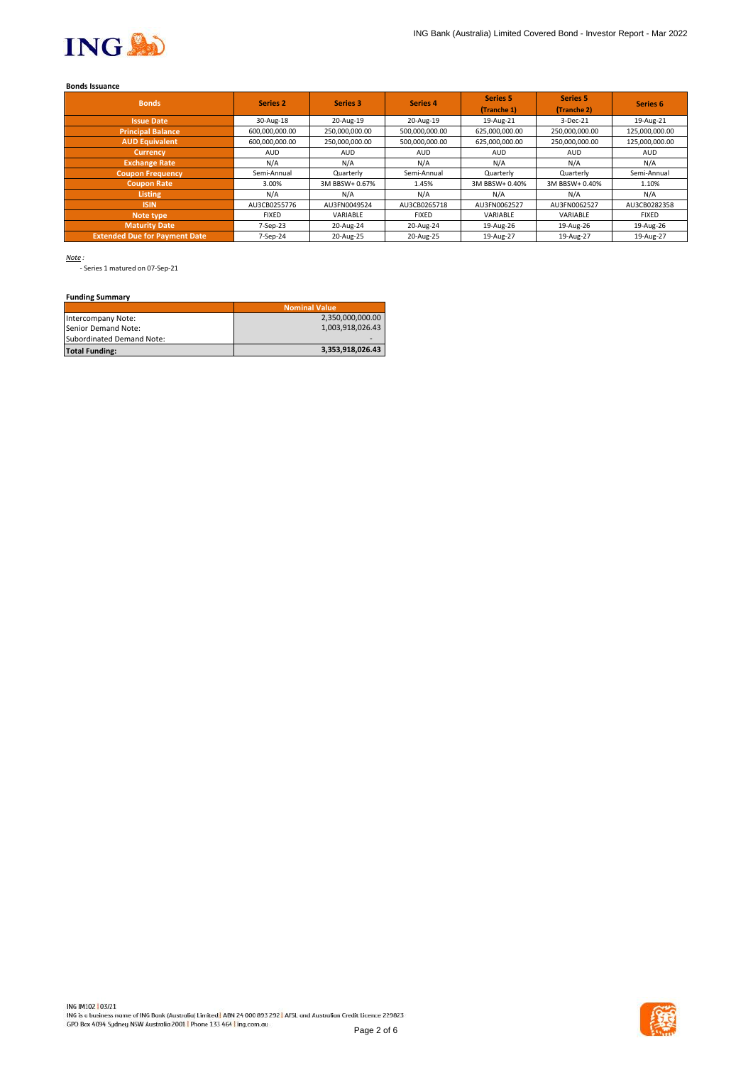

# **Bonds Issuance**

| <b>Bonds</b>                         | Series <sub>2</sub> | Series 3       | Series 4       | <b>Series 5</b><br>(Tranche 1) | <b>Series 5</b><br>(Tranche 2) | Series <sub>6</sub> |
|--------------------------------------|---------------------|----------------|----------------|--------------------------------|--------------------------------|---------------------|
| <b>Issue Date</b>                    | 30-Aug-18           | 20-Aug-19      | 20-Aug-19      | 19-Aug-21                      | 3-Dec-21                       | 19-Aug-21           |
| <b>Principal Balance</b>             | 600,000,000.00      | 250,000,000.00 | 500,000,000.00 | 625,000,000.00                 | 250,000,000.00                 | 125,000,000.00      |
| <b>AUD Equivalent</b>                | 600,000,000.00      | 250,000,000.00 | 500,000,000.00 | 625,000,000.00                 | 250,000,000.00                 | 125,000,000.00      |
| <b>Currency</b>                      | <b>AUD</b>          | <b>AUD</b>     | <b>AUD</b>     | <b>AUD</b>                     | <b>AUD</b>                     | <b>AUD</b>          |
| <b>Exchange Rate</b>                 | N/A                 | N/A            | N/A            | N/A                            | N/A                            | N/A                 |
| <b>Coupon Frequency</b>              | Semi-Annual         | Quarterly      | Semi-Annual    | Quarterly                      | Quarterly                      | Semi-Annual         |
| <b>Coupon Rate</b>                   | 3.00%               | 3M BBSW+ 0.67% | 1.45%          | 3M BBSW+ 0.40%                 | 3M BBSW+ 0.40%                 | 1.10%               |
| <b>Listing</b>                       | N/A                 | N/A            | N/A            | N/A                            | N/A                            | N/A                 |
| <b>ISIN</b>                          | AU3CB0255776        | AU3FN0049524   | AU3CB0265718   | AU3FN0062527                   | AU3FN0062527                   | AU3CB0282358        |
| Note type                            | <b>FIXED</b>        | VARIABLE       | <b>FIXED</b>   | VARIABLE                       | VARIABLE                       | <b>FIXED</b>        |
| <b>Maturity Date</b>                 | 7-Sep-23            | 20-Aug-24      | 20-Aug-24      | 19-Aug-26                      | 19-Aug-26                      | 19-Aug-26           |
| <b>Extended Due for Payment Date</b> | 7-Sep-24            | 20-Aug-25      | 20-Aug-25      | 19-Aug-27                      | 19-Aug-27                      | 19-Aug-27           |

*Note :*

- Series 1 matured on 07-Sep-21

# **Funding Summary**

|                           | <b>Nominal Value</b> |
|---------------------------|----------------------|
| Intercompany Note:        | 2,350,000,000.00     |
| Senior Demand Note:       | 1.003.918.026.43     |
| Subordinated Demand Note: |                      |
| <b>Total Funding:</b>     | 3.353.918.026.43     |

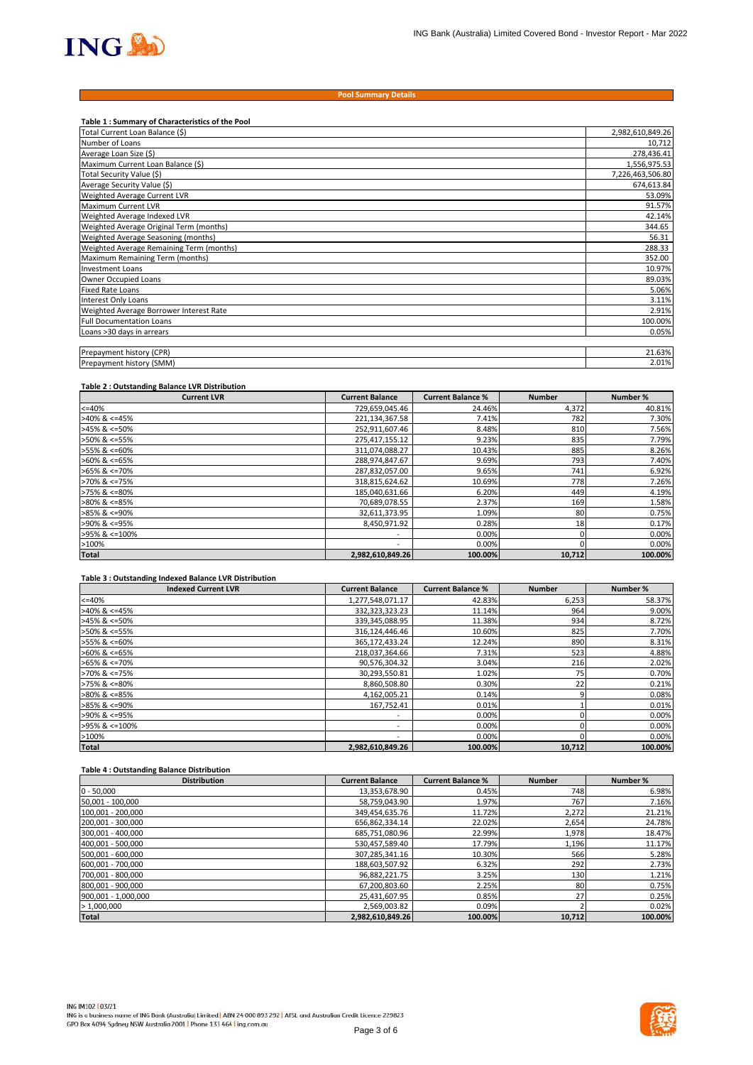

#### **Pool Summary Details**

| Table 1: Summary of Characteristics of the Pool |                  |
|-------------------------------------------------|------------------|
| Total Current Loan Balance (\$)                 | 2,982,610,849.26 |
| Number of Loans                                 | 10,712           |
| Average Loan Size (\$)                          | 278,436.41       |
| Maximum Current Loan Balance (\$)               | 1,556,975.53     |
| Total Security Value (\$)                       | 7,226,463,506.80 |
| Average Security Value (\$)                     | 674,613.84       |
| Weighted Average Current LVR                    | 53.09%           |
| <b>Maximum Current LVR</b>                      | 91.57%           |
| Weighted Average Indexed LVR                    | 42.14%           |
| Weighted Average Original Term (months)         | 344.65           |
| Weighted Average Seasoning (months)             | 56.31            |
| Weighted Average Remaining Term (months)        | 288.33           |
| Maximum Remaining Term (months)                 | 352.00           |
| <b>Investment Loans</b>                         | 10.97%           |
| Owner Occupied Loans                            | 89.03%           |
| <b>Fixed Rate Loans</b>                         | 5.06%            |
| <b>Interest Only Loans</b>                      | 3.11%            |
| Weighted Average Borrower Interest Rate         | 2.91%            |
| <b>Full Documentation Loans</b>                 | 100.00%          |
| Loans >30 days in arrears                       | 0.05%            |
|                                                 |                  |
| Prepayment history (CPR)                        | 21.63%           |
| Prepayment history (SMM)                        | 2.01%            |

#### **Table 2 : Outstanding Balance LVR Distribution**

| <b>Current LVR</b>    | <b>Current Balance</b>   | <b>Current Balance %</b> | <b>Number</b> | Number % |
|-----------------------|--------------------------|--------------------------|---------------|----------|
| $<=40%$               | 729,659,045.46           | 24.46%                   | 4,372         | 40.81%   |
| $>40\%$ & <=45%       | 221,134,367.58           | 7.41%                    | 782           | 7.30%    |
| $>45\%$ & <=50%       | 252,911,607.46           | 8.48%                    | 810           | 7.56%    |
| >50% & <=55%          | 275,417,155.12           | 9.23%                    | 835           | 7.79%    |
| >55% & <=60%          | 311,074,088.27           | 10.43%                   | 885           | 8.26%    |
| $>60\%$ & <=65%       | 288,974,847.67           | 9.69%                    | 793           | 7.40%    |
| $>65\%$ & <=70%       | 287,832,057.00           | 9.65%                    | 741           | 6.92%    |
| $>70\%$ & $\leq 75\%$ | 318,815,624.62           | 10.69%                   | 778           | 7.26%    |
| $>75\%$ & $\leq 80\%$ | 185,040,631.66           | 6.20%                    | 449           | 4.19%    |
| $>80\%$ & <=85%       | 70,689,078.55            | 2.37%                    | 169           | 1.58%    |
| $>85\%$ & <=90%       | 32,611,373.95            | 1.09%                    | 80            | 0.75%    |
| >90% & <=95%          | 8.450.971.92             | 0.28%                    | 18            | 0.17%    |
| >95% & <=100%         | $\overline{\phantom{a}}$ | 0.00%                    |               | 0.00%    |
| >100%                 | $\overline{\phantom{a}}$ | 0.00%                    |               | 0.00%    |
| <b>Total</b>          | 2,982,610,849.26         | 100.00%                  | 10,712        | 100.00%  |

#### **Table 3 : Outstanding Indexed Balance LVR Distribution**

| <b>Indexed Current LVR</b> | <b>Current Balance</b> | <b>Current Balance %</b> | <b>Number</b> | Number % |
|----------------------------|------------------------|--------------------------|---------------|----------|
| $<=40%$                    | 1,277,548,071.17       | 42.83%                   | 6,253         | 58.37%   |
| $>40\%$ & <=45%            | 332,323,323.23         | 11.14%                   | 964           | 9.00%    |
| $>45\%$ & <=50%            | 339,345,088.95         | 11.38%                   | 934           | 8.72%    |
| >50% & <=55%               | 316,124,446.46         | 10.60%                   | 825           | 7.70%    |
| >55% & <=60%               | 365,172,433.24         | 12.24%                   | 890           | 8.31%    |
| $>60\%$ & <=65%            | 218,037,364.66         | 7.31%                    | 523           | 4.88%    |
| $>65\%$ & <=70%            | 90,576,304.32          | 3.04%                    | 216           | 2.02%    |
| >70% & <=75%               | 30,293,550.81          | 1.02%                    | 75            | 0.70%    |
| $>75\%$ & $\leq 80\%$      | 8,860,508.80           | 0.30%                    | 22            | 0.21%    |
| $>80\%$ & <=85%            | 4,162,005.21           | 0.14%                    |               | 0.08%    |
| $>85\%$ & <=90%            | 167,752.41             | 0.01%                    |               | 0.01%    |
| >90% & <=95%               | ۰                      | 0.00%                    |               | 0.00%    |
| >95% & <=100%              | ۰                      | 0.00%                    |               | 0.00%    |
| >100%                      | ۰                      | 0.00%                    |               | 0.00%    |
| <b>Total</b>               | 2.982.610.849.26       | 100.00%                  | 10,712        | 100.00%  |

## **Table 4 : Outstanding Balance Distribution**

| <b>Distribution</b> | <b>Current Balance</b> | <b>Current Balance %</b> | <b>Number</b> | Number % |
|---------------------|------------------------|--------------------------|---------------|----------|
| $0 - 50,000$        | 13,353,678.90          | 0.45%                    | 748           | 6.98%    |
| 50,001 - 100,000    | 58,759,043.90          | 1.97%                    | 767           | 7.16%    |
| 100,001 - 200,000   | 349,454,635.76         | 11.72%                   | 2,272         | 21.21%   |
| 200,001 - 300,000   | 656,862,334.14         | 22.02%                   | 2,654         | 24.78%   |
| 300,001 - 400,000   | 685,751,080.96         | 22.99%                   | 1,978         | 18.47%   |
| 400,001 - 500,000   | 530,457,589.40         | 17.79%                   | 1,196         | 11.17%   |
| 500,001 - 600,000   | 307,285,341.16         | 10.30%                   | 566           | 5.28%    |
| 600,001 - 700,000   | 188,603,507.92         | 6.32%                    | 292           | 2.73%    |
| 700,001 - 800,000   | 96,882,221.75          | 3.25%                    | 130           | 1.21%    |
| 800,001 - 900,000   | 67,200,803.60          | 2.25%                    | 80            | 0.75%    |
| 900,001 - 1,000,000 | 25,431,607.95          | 0.85%                    | 27            | 0.25%    |
| >1,000,000          | 2,569,003.82           | 0.09%                    |               | 0.02%    |
| <b>Total</b>        | 2,982,610,849.26       | 100.00%                  | 10,712        | 100.00%  |

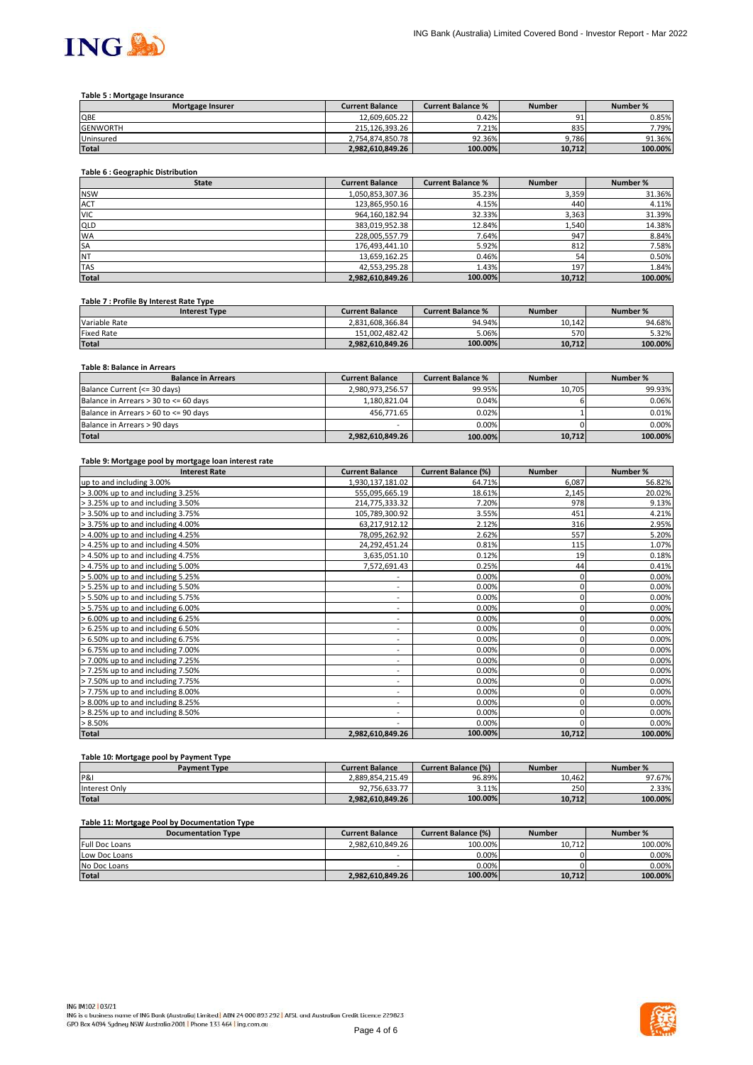

#### **Table 5 : Mortgage Insurance**

| <b>Mortgage Insurer</b> | <b>Current Balance</b> | <b>Current Balance %</b> | <b>Number</b> | Number % |
|-------------------------|------------------------|--------------------------|---------------|----------|
| QBE                     | 12.609.605.22          | 0.42%                    | --            | 0.85%    |
| <b>GENWORTH</b>         | 215.126.393.26         | 7.21%                    | 835           | 7.79%    |
| Uninsured               | 2.754.874.850.78       | 92.36%                   | 9.786         | 91.36%   |
| <b>Total</b>            | 2.982.610.849.26       | 100.00%                  | 10.712        | 100.00%  |

# **Table 6 : Geographic Distribution**

| <b>State</b> | <b>Current Balance</b> | <b>Current Balance %</b> | <b>Number</b> | Number % |
|--------------|------------------------|--------------------------|---------------|----------|
| <b>NSW</b>   | 1,050,853,307.36       | 35.23%                   | 3,359         | 31.36%   |
| <b>ACT</b>   | 123,865,950.16         | 4.15%                    | 440           | 4.11%    |
| <b>VIC</b>   | 964,160,182.94         | 32.33%                   | 3,363         | 31.39%   |
| <b>QLD</b>   | 383,019,952.38         | 12.84%                   | 1,540         | 14.38%   |
| <b>WA</b>    | 228,005,557.79         | 7.64%                    | 947           | 8.84%    |
| <b>SA</b>    | 176,493,441.10         | 5.92%                    | 812           | 7.58%    |
| <b>NT</b>    | 13,659,162.25          | 0.46%                    | 54            | 0.50%    |
| <b>TAS</b>   | 42,553,295.28          | 1.43%                    | 197           | 1.84%    |
| <b>Total</b> | 2,982,610,849.26       | 100.00%                  | 10,712        | 100.00%  |

#### **Table 7 : Profile By Interest Rate Type**

| <b>Interest Type</b> | <b>Current Balance</b> | <b>Current Balance %</b> | <b>Number</b> | Number % |
|----------------------|------------------------|--------------------------|---------------|----------|
| Variable Rate        | 2.831.608.366.84       | 94.94%                   | 10.142        | 94.68%   |
| Fixed Rate           | 151.002.482.42         | 5.06%                    | 570           | 5.32%    |
| <b>Total</b>         | 2.982.610.849.26       | 100.00%                  | 10.712        | 100.00%  |

## **Table 8: Balance in Arrears**

| <b>Balance in Arrears</b>             | <b>Current Balance</b> | <b>Current Balance %</b> | <b>Number</b> | Number % |
|---------------------------------------|------------------------|--------------------------|---------------|----------|
| Balance Current (<= 30 days)          | 2.980.973.256.57       | 99.95%                   | 10.705        | 99.93%   |
| Balance in Arrears > 30 to <= 60 days | 1.180.821.04           | 0.04%                    |               | 0.06%    |
| Balance in Arrears > 60 to <= 90 days | 456.771.65             | 0.02%                    |               | 0.01%    |
| Balance in Arrears > 90 days          | -                      | 0.00%                    |               | 0.00%    |
| <b>Total</b>                          | 2,982,610,849.26       | 100.00%                  | 10,712        | 100.00%  |

#### **Table 9: Mortgage pool by mortgage loan interest rate**

| <b>Interest Rate</b>              | <b>Current Balance</b>   | <b>Current Balance (%)</b> | <b>Number</b> | Number % |
|-----------------------------------|--------------------------|----------------------------|---------------|----------|
| up to and including 3.00%         | 1,930,137,181.02         | 64.71%                     | 6,087         | 56.82%   |
| > 3.00% up to and including 3.25% | 555,095,665.19           | 18.61%                     | 2,145         | 20.02%   |
| > 3.25% up to and including 3.50% | 214,775,333.32           | 7.20%                      | 978           | 9.13%    |
| > 3.50% up to and including 3.75% | 105,789,300.92           | 3.55%                      | 451           | 4.21%    |
| > 3.75% up to and including 4.00% | 63,217,912.12            | 2.12%                      | 316           | 2.95%    |
| > 4.00% up to and including 4.25% | 78,095,262.92            | 2.62%                      | 557           | 5.20%    |
| > 4.25% up to and including 4.50% | 24,292,451.24            | 0.81%                      | 115           | 1.07%    |
| > 4.50% up to and including 4.75% | 3,635,051.10             | 0.12%                      | 19            | 0.18%    |
| > 4.75% up to and including 5.00% | 7,572,691.43             | 0.25%                      | 44            | 0.41%    |
| > 5.00% up to and including 5.25% |                          | 0.00%                      | 0             | 0.00%    |
| > 5.25% up to and including 5.50% | ۰.                       | 0.00%                      | 0             | 0.00%    |
| > 5.50% up to and including 5.75% | ۰                        | 0.00%                      | 0             | 0.00%    |
| > 5.75% up to and including 6.00% | ۰.                       | 0.00%                      | 0             | 0.00%    |
| > 6.00% up to and including 6.25% | $\overline{\phantom{a}}$ | 0.00%                      | 0             | 0.00%    |
| > 6.25% up to and including 6.50% | $\overline{\phantom{a}}$ | 0.00%                      |               | 0.00%    |
| > 6.50% up to and including 6.75% | $\overline{\phantom{a}}$ | 0.00%                      | 0             | 0.00%    |
| > 6.75% up to and including 7.00% | $\overline{\phantom{a}}$ | 0.00%                      | 0             | 0.00%    |
| > 7.00% up to and including 7.25% | $\overline{\phantom{a}}$ | 0.00%                      | 0             | 0.00%    |
| > 7.25% up to and including 7.50% | ۰                        | 0.00%                      | 0             | 0.00%    |
| > 7.50% up to and including 7.75% | ۰.                       | 0.00%                      | 0             | 0.00%    |
| > 7.75% up to and including 8.00% | ٠                        | 0.00%                      | 0             | 0.00%    |
| > 8.00% up to and including 8.25% | $\overline{\phantom{a}}$ | 0.00%                      | 0             | 0.00%    |
| > 8.25% up to and including 8.50% | ٠                        | 0.00%                      |               | 0.00%    |
| > 8.50%                           | ٠                        | 0.00%                      |               | 0.00%    |
| Total                             | 2,982,610,849.26         | 100.00%                    | 10,712        | 100.00%  |

# **Table 10: Mortgage pool by Payment Type**

| <b>Payment Type</b> | <b>Current Balance</b> | <b>Current Balance (%)</b> | <b>Number</b> | Number % |
|---------------------|------------------------|----------------------------|---------------|----------|
| P&I                 | 2.889.854.215.49       | 96.89%                     | 10.462        | 97.67%   |
| Interest Only       | 92.756.633.77          | 3.11%                      | 250           | 2.33%    |
| <b>Total</b>        | 2.982.610.849.26       | 100.00%                    | 10.712        | 100.00%  |

## **Table 11: Mortgage Pool by Documentation Type**

| <b>Documentation Type</b> | <b>Current Balance</b> | <b>Current Balance (%)</b> | <b>Number</b> | Number % |
|---------------------------|------------------------|----------------------------|---------------|----------|
| <b>Full Doc Loans</b>     | 2.982.610.849.26       | 100.00%                    | 10.712        | 100.00%  |
| Low Doc Loans             | -                      | 0.00%                      |               | 0.00%    |
| No Doc Loans              | -                      | 0.00%                      |               | 0.00%    |
| <b>Total</b>              | 2.982.610.849.26       | 100.00%                    | 10.712        | 100.00%  |

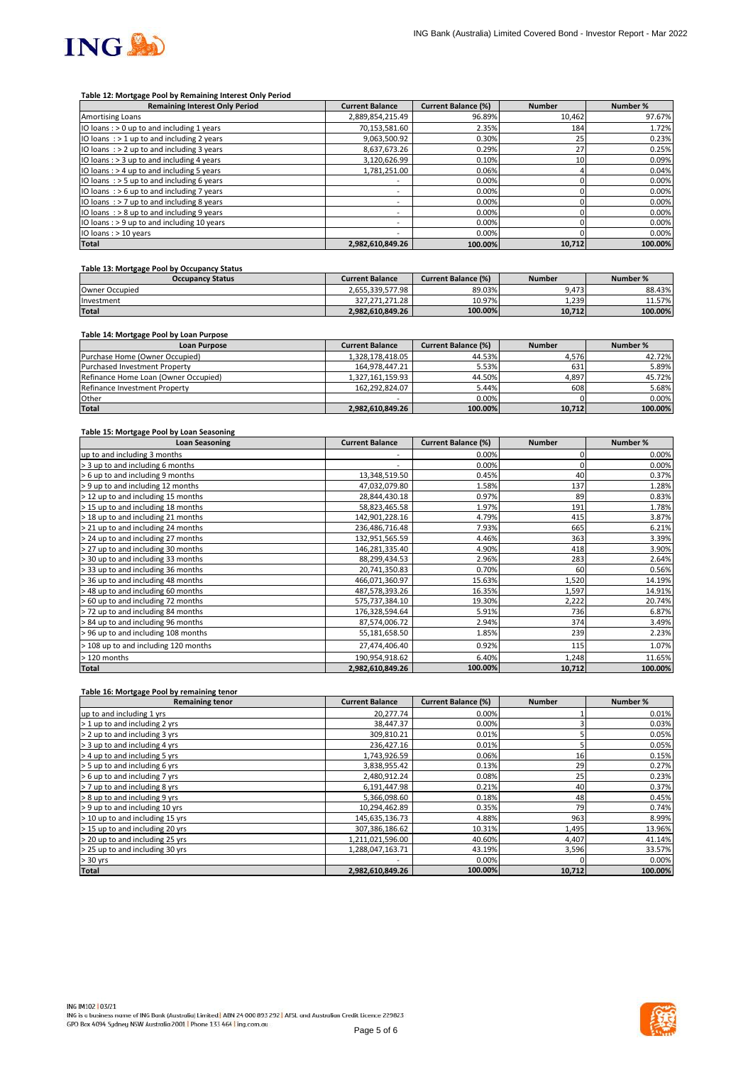

#### **Table 12: Mortgage Pool by Remaining Interest Only Period**

| <b>Remaining Interest Only Period</b>        | <b>Current Balance</b>   | <b>Current Balance (%)</b> | <b>Number</b> | Number % |
|----------------------------------------------|--------------------------|----------------------------|---------------|----------|
| <b>Amortising Loans</b>                      | 2,889,854,215.49         | 96.89%                     | 10,462        | 97.67%   |
| IO loans: $> 0$ up to and including 1 years  | 70,153,581.60            | 2.35%                      | 184           | 1.72%    |
| IO loans : > 1 up to and including 2 years   | 9,063,500.92             | 0.30%                      | 25            | 0.23%    |
| IO loans $:$ > 2 up to and including 3 years | 8,637,673.26             | 0.29%                      | 27            | 0.25%    |
| IO loans: > 3 up to and including 4 years    | 3,120,626.99             | 0.10%                      | 10            | 0.09%    |
| IO loans : > 4 up to and including 5 years   | 1.781.251.00             | 0.06%                      |               | 0.04%    |
| IO loans: $>$ 5 up to and including 6 years  | $\overline{\phantom{a}}$ | 0.00%                      |               | 0.00%    |
| IO loans $:$ > 6 up to and including 7 years | $\overline{\phantom{a}}$ | 0.00%                      |               | 0.00%    |
| IO loans $:$ > 7 up to and including 8 years | $\overline{\phantom{a}}$ | 0.00%                      |               | 0.00%    |
| IO loans : > 8 up to and including 9 years   | ۰                        | 0.00%                      |               | 0.00%    |
| IO loans : > 9 up to and including 10 years  | $\overline{\phantom{a}}$ | 0.00%                      |               | 0.00%    |
| IO loans : > 10 years                        | ۰                        | 0.00%                      |               | 0.00%    |
| <b>Total</b>                                 | 2,982,610,849.26         | 100.00%                    | 10,712        | 100.00%  |

## **Table 13: Mortgage Pool by Occupancy Status**

| <b>Occupancy Status</b> | <b>Current Balance</b> | <b>Current Balance (%)</b> | <b>Number</b> | Number % |
|-------------------------|------------------------|----------------------------|---------------|----------|
| Owner Occupied          | 2.655.339.577.98       | 89.03%                     | 9.473         | 88.43%   |
| Investment              | 327.271.271.28         | 10.97%                     | 1.239         | 11.57%   |
| <b>Total</b>            | 2.982.610.849.26       | 100.00%                    | 10.712        | 100.00%  |

## **Table 14: Mortgage Pool by Loan Purpose**

| <b>Loan Purpose</b>                  | <b>Current Balance</b> | <b>Current Balance (%)</b> | <b>Number</b> | Number % |
|--------------------------------------|------------------------|----------------------------|---------------|----------|
| Purchase Home (Owner Occupied)       | 1,328,178,418.05       | 44.53%                     | 4.576         | 42.72%   |
| Purchased Investment Property        | 164,978,447.21         | 5.53%                      | 631           | 5.89%    |
| Refinance Home Loan (Owner Occupied) | 1,327,161,159.93       | 44.50%                     | 4,897         | 45.72%   |
| Refinance Investment Property        | 162.292.824.07         | 5.44%                      | 608           | 5.68%    |
| Other                                |                        | 0.00%                      |               | 0.00%    |
| <b>Total</b>                         | 2,982,610,849.26       | 100.00%                    | 10,712        | 100.00%  |

#### **Table 15: Mortgage Pool by Loan Seasoning**

| <b>Loan Seasoning</b>                | <b>Current Balance</b> | <b>Current Balance (%)</b> | <b>Number</b> | Number % |
|--------------------------------------|------------------------|----------------------------|---------------|----------|
| up to and including 3 months         |                        | 0.00%                      |               | 0.00%    |
| > 3 up to and including 6 months     | ۰                      | 0.00%                      |               | 0.00%    |
| > 6 up to and including 9 months     | 13,348,519.50          | 0.45%                      | 40            | 0.37%    |
| > 9 up to and including 12 months    | 47,032,079.80          | 1.58%                      | 137           | 1.28%    |
| > 12 up to and including 15 months   | 28,844,430.18          | 0.97%                      | 89            | 0.83%    |
| > 15 up to and including 18 months   | 58,823,465.58          | 1.97%                      | 191           | 1.78%    |
| > 18 up to and including 21 months   | 142,901,228.16         | 4.79%                      | 415           | 3.87%    |
| > 21 up to and including 24 months   | 236,486,716.48         | 7.93%                      | 665           | 6.21%    |
| > 24 up to and including 27 months   | 132,951,565.59         | 4.46%                      | 363           | 3.39%    |
| > 27 up to and including 30 months   | 146,281,335.40         | 4.90%                      | 418           | 3.90%    |
| > 30 up to and including 33 months   | 88,299,434.53          | 2.96%                      | 283           | 2.64%    |
| > 33 up to and including 36 months   | 20,741,350.83          | 0.70%                      | 60            | 0.56%    |
| > 36 up to and including 48 months   | 466,071,360.97         | 15.63%                     | 1,520         | 14.19%   |
| > 48 up to and including 60 months   | 487,578,393.26         | 16.35%                     | 1,597         | 14.91%   |
| > 60 up to and including 72 months   | 575,737,384.10         | 19.30%                     | 2,222         | 20.74%   |
| > 72 up to and including 84 months   | 176,328,594.64         | 5.91%                      | 736           | 6.87%    |
| > 84 up to and including 96 months   | 87,574,006.72          | 2.94%                      | 374           | 3.49%    |
| > 96 up to and including 108 months  | 55,181,658.50          | 1.85%                      | 239           | 2.23%    |
| > 108 up to and including 120 months | 27,474,406.40          | 0.92%                      | 115           | 1.07%    |
| > 120 months                         | 190,954,918.62         | 6.40%                      | 1,248         | 11.65%   |
| <b>Total</b>                         | 2,982,610,849.26       | 100.00%                    | 10,712        | 100.00%  |

#### **Table 16: Mortgage Pool by remaining tenor**

| <b>Remaining tenor</b>          | <b>Current Balance</b> | <b>Current Balance (%)</b> | <b>Number</b> | Number % |
|---------------------------------|------------------------|----------------------------|---------------|----------|
| up to and including 1 yrs       | 20,277.74              | 0.00%                      |               | 0.01%    |
| > 1 up to and including 2 yrs   | 38,447.37              | 0.00%                      |               | 0.03%    |
| > 2 up to and including 3 yrs   | 309,810.21             | 0.01%                      |               | 0.05%    |
| > 3 up to and including 4 yrs   | 236,427.16             | 0.01%                      |               | 0.05%    |
| > 4 up to and including 5 yrs   | 1,743,926.59           | 0.06%                      | 16            | 0.15%    |
| > 5 up to and including 6 yrs   | 3,838,955.42           | 0.13%                      | 29            | 0.27%    |
| > 6 up to and including 7 yrs   | 2,480,912.24           | 0.08%                      | 25            | 0.23%    |
| > 7 up to and including 8 yrs   | 6,191,447.98           | 0.21%                      | 40            | 0.37%    |
| > 8 up to and including 9 yrs   | 5,366,098.60           | 0.18%                      | 48            | 0.45%    |
| > 9 up to and including 10 yrs  | 10,294,462.89          | 0.35%                      | 79            | 0.74%    |
| > 10 up to and including 15 yrs | 145,635,136.73         | 4.88%                      | 963           | 8.99%    |
| > 15 up to and including 20 yrs | 307,386,186.62         | 10.31%                     | 1,495         | 13.96%   |
| > 20 up to and including 25 yrs | 1,211,021,596.00       | 40.60%                     | 4,407         | 41.14%   |
| > 25 up to and including 30 yrs | 1,288,047,163.71       | 43.19%                     | 3,596         | 33.57%   |
| $> 30$ yrs                      |                        | 0.00%                      |               | 0.00%    |
| <b>Total</b>                    | 2,982,610,849.26       | 100.00%                    | 10,712        | 100.00%  |